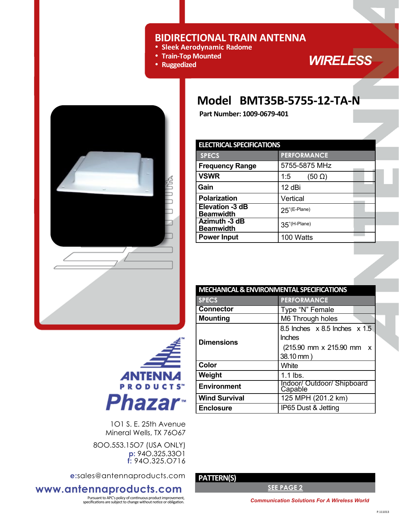### **BIDIRECTIONAL TRAIN ANTENNA**

- **Sleek Aerodynamic Radome**
- **Train-Top Mounted**
- **Ruggedized**

*WIRELESS* 

## **Model BMT35B-5755-12-TA-N**

**Part Number: 1009-0679-401** 

| Part Number: 1009-0679-401                 |                        |
|--------------------------------------------|------------------------|
|                                            |                        |
| <b>ELECTRICAL SPECIFICATIONS</b>           |                        |
| <b>SPECS</b>                               | <b>PERFORMA</b>        |
| <b>Frequency Range</b>                     | 5755-5875              |
| <b>VSWR</b>                                | 1:5<br>(5              |
| Gain                                       | 12 dBi                 |
| <b>Polarization</b>                        | Vertical               |
| <b>Elevation -3 dB</b><br><b>Beamwidth</b> | $25^{\circ}$ (E-Plane) |
| Azimuth -3 dB<br>Beamwidth                 | 35°(H-Plane)           |
| <b>Power Input</b>                         | 100 Watts              |
|                                            |                        |



| <b>ANTENNA</b><br><b>PRODUCTS</b> |
|-----------------------------------|
| Phazar                            |

1O1 S. E. 25th Avenue Mineral Wells, TX 76O67

8OO.553.15O7 (USA ONLY) **p:** 94O.325.33O1 **f:** 94O.325.O716

**e:**sales@antennaproducts.com

### **www.antennaproducts.com**

Pursuant to APC's policy of continuous product improvement,<br>specifications are subject to change without notice or obligation. **Communication Solutions For A Wireless World** 

| LLLCTNCAL SFLCTICATIONS                    |                        |  |
|--------------------------------------------|------------------------|--|
| <b>SPECS</b>                               | <b>PERFORMANCE</b>     |  |
| <b>Frequency Range</b>                     | 5755-5875 MHz          |  |
| <b>VSWR</b>                                | $(50 \Omega)$<br>1:5   |  |
| Gain                                       | 12 dBi                 |  |
| <b>Polarization</b>                        | Vertical               |  |
| <b>Elevation -3 dB</b><br><b>Beamwidth</b> | $25^{\circ}$ (E-Plane) |  |
| Azimuth -3 dB<br><b>Beamwidth</b>          | 35°(H-Plane)           |  |
| <b>Power Input</b>                         | 100 Watts              |  |
|                                            |                        |  |

| <b>MECHANICAL &amp; ENVIRONMENTAL SPECIFICATIONS</b> |                                             |  |
|------------------------------------------------------|---------------------------------------------|--|
| <b>SPECS</b>                                         | <b>PERFORMANCE</b>                          |  |
| <b>Connector</b>                                     | Type "N" Female                             |  |
| <b>Mounting</b>                                      | M6 Through holes                            |  |
|                                                      | 8.5 Inches $\times$ 8.5 Inches $\times$ 1.5 |  |
| <b>Dimensions</b>                                    | <b>Inches</b>                               |  |
|                                                      | (215.90 mm x 215.90 mm<br>X                 |  |
|                                                      | 38.10 mm)                                   |  |
| Color                                                | White                                       |  |
| Weight                                               | $1.1$ lbs.                                  |  |
| <b>Environment</b>                                   | Indoor/ Outdoor/ Shipboard<br>Capable       |  |
| <b>Wind Survival</b>                                 | 125 MPH (201.2 km)                          |  |
| <b>Enclosure</b>                                     | IP65 Dust & Jetting                         |  |

 **PATTERN(S)** 

**SEE PAGE 2**